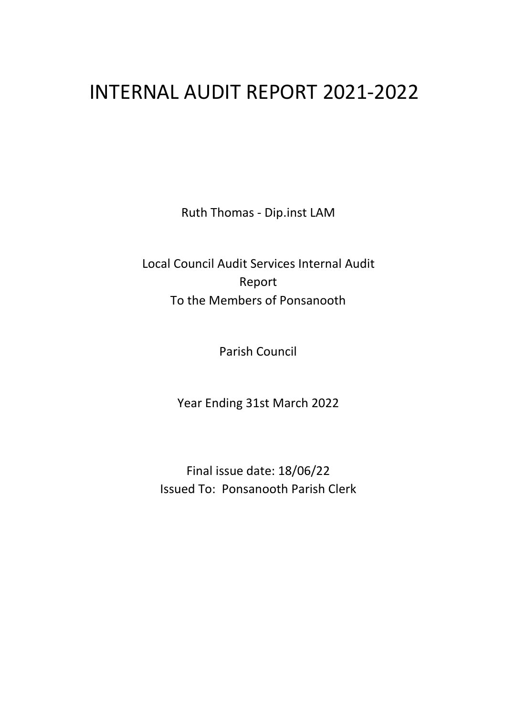# INTERNAL AUDIT REPORT 2021-2022

Ruth Thomas - Dip.inst LAM

Local Council Audit Services Internal Audit Report To the Members of Ponsanooth

Parish Council

Year Ending 31st March 2022

Final issue date: 18/06/22 Issued To: Ponsanooth Parish Clerk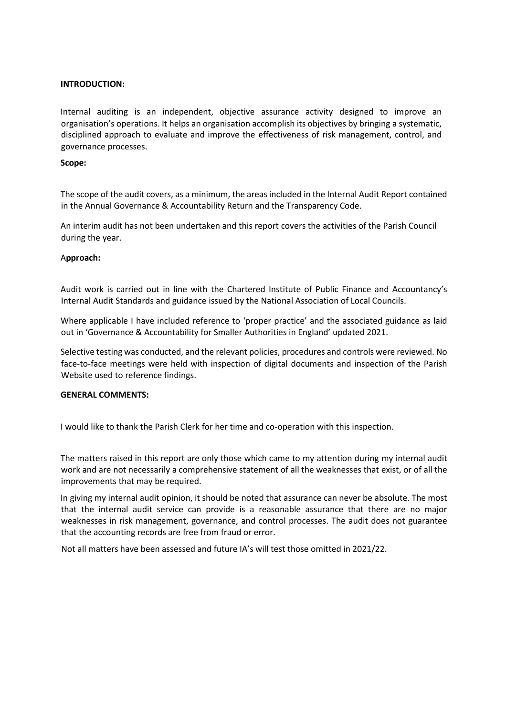# **INTRODUCTION:**

Internal auditing is an independent, objective assurance activity designed to improve an organisation's operations. It helps an organisation accomplish its objectives by bringing a systematic, disciplined approach to evaluate and improve the effectiveness of risk management, control, and governance processes.

## **Scope:**

The scope of the audit covers, as a minimum, the areas included in the Internal Audit Report contained in the Annual Governance & Accountability Return and the Transparency Code.

An interim audit has not been undertaken and this report covers the activities of the Parish Council during the year.

## A**pproach:**

Audit work is carried out in line with the Chartered Institute of Public Finance and Accountancy's Internal Audit Standards and guidance issued by the National Association of Local Councils.

Where applicable I have included reference to 'proper practice' and the associated guidance as laid out in 'Governance & Accountability for Smaller Authorities in England' updated 2021.

Selective testing was conducted, and the relevant policies, procedures and controls were reviewed. No face-to-face meetings were held with inspection of digital documents and inspection of the Parish Website used to reference findings.

# **GENERAL COMMENTS:**

I would like to thank the Parish Clerk for her time and co-operation with this inspection.

The matters raised in this report are only those which came to my attention during my internal audit work and are not necessarily a comprehensive statement of all the weaknesses that exist, or of all the improvements that may be required.

In giving my internal audit opinion, it should be noted that assurance can never be absolute. The most that the internal audit service can provide is a reasonable assurance that there are no major weaknesses in risk management, governance, and control processes. The audit does not guarantee that the accounting records are free from fraud or error.

Not all matters have been assessed and future IA's will test those omitted in 2021/22.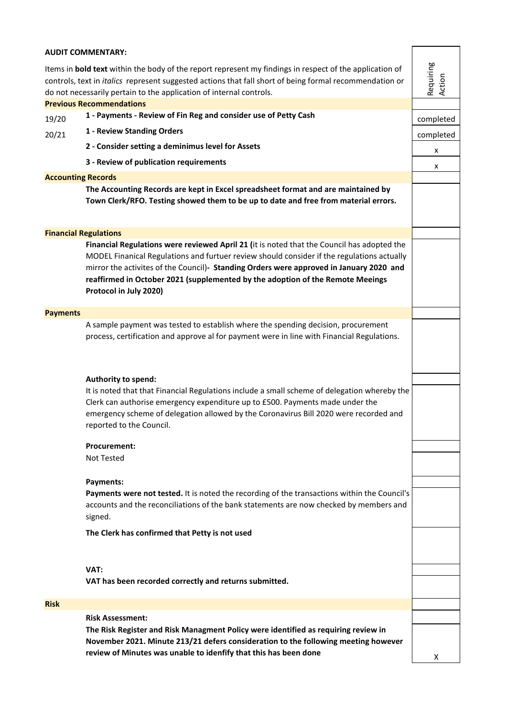## **AUDIT COMMENTARY:**

Items in **bold text** within the body of the report represent my findings in respect of the application of controls, text in *italics* represent suggested actions that fall short of being formal recommendation or do not necessarily pertain to the application of internal controls.

**Previous Recommendations**

| completed |
|-----------|
|           |

- 20/21 **1 Neview Standing Orders Number 2001 Completed completed 1 - Review Standing Orders**
	- **2 Consider setting a deminimus level for Assets**

**3 - Review of publication requirements**

#### **Accounting Records**

**The Accounting Records are kept in Excel spreadsheet format and are maintained by Town Clerk/RFO. Testing showed them to be up to date and free from material errors.** 

#### **Financial Regulations**

**Financial Regulations were reviewed April 21 (**it is noted that the Council has adopted the MODEL Finanical Regulations and furtuer review should consider if the regulations actually mirror the activites of the Council)**- Standing Orders were approved in January 2020 and reaffirmed in October 2021 (supplemented by the adoption of the Remote Meeings Protocol in July 2020)** 

## **Payments**

A sample payment was tested to establish where the spending decision, procurement process, certification and approve al for payment were in line with Financial Regulations.

## **Authority to spend:**

It is noted that that Financial Regulations include a small scheme of delegation whereby the Clerk can authorise emergency expenditure up to £500. Payments made under the emergency scheme of delegation allowed by the Coronavirus Bill 2020 were recorded and reported to the Council.

#### **Procurement:**

Not Tested

#### **Payments:**

**Payments were not tested.** It is noted the recording of the transactions within the Council's accounts and the reconciliations of the bank statements are now checked by members and signed.

**The Clerk has confirmed that Petty is not used**

#### **VAT:**

**VAT has been recorded correctly and returns submitted.**

## **Risk**

# **Risk Assessment:**

**The Risk Register and Risk Managment Policy were identified as requiring review in November 2021. Minute 213/21 defers consideration to the following meeting however review of Minutes was unable to idenfify that this has been done** 

x x

Requiring Action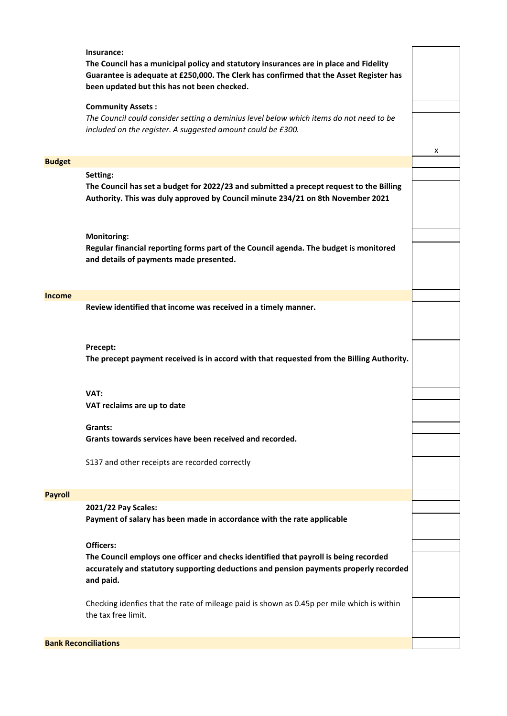|                | Insurance:<br>The Council has a municipal policy and statutory insurances are in place and Fidelity<br>Guarantee is adequate at £250,000. The Clerk has confirmed that the Asset Register has<br>been updated but this has not been checked. |   |
|----------------|----------------------------------------------------------------------------------------------------------------------------------------------------------------------------------------------------------------------------------------------|---|
|                | <b>Community Assets:</b>                                                                                                                                                                                                                     |   |
|                | The Council could consider setting a deminius level below which items do not need to be<br>included on the register. A suggested amount could be £300.                                                                                       |   |
|                |                                                                                                                                                                                                                                              |   |
| <b>Budget</b>  |                                                                                                                                                                                                                                              | x |
|                | Setting:                                                                                                                                                                                                                                     |   |
|                | The Council has set a budget for 2022/23 and submitted a precept request to the Billing<br>Authority. This was duly approved by Council minute 234/21 on 8th November 2021                                                                   |   |
|                |                                                                                                                                                                                                                                              |   |
|                | <b>Monitoring:</b><br>Regular financial reporting forms part of the Council agenda. The budget is monitored<br>and details of payments made presented.                                                                                       |   |
|                |                                                                                                                                                                                                                                              |   |
| <b>Income</b>  | Review identified that income was received in a timely manner.                                                                                                                                                                               |   |
|                |                                                                                                                                                                                                                                              |   |
|                | Precept:                                                                                                                                                                                                                                     |   |
|                | The precept payment received is in accord with that requested from the Billing Authority.                                                                                                                                                    |   |
|                | VAT:                                                                                                                                                                                                                                         |   |
|                | VAT reclaims are up to date                                                                                                                                                                                                                  |   |
|                |                                                                                                                                                                                                                                              |   |
|                | Grants:<br>Grants towards services have been received and recorded.                                                                                                                                                                          |   |
|                |                                                                                                                                                                                                                                              |   |
|                | S137 and other receipts are recorded correctly                                                                                                                                                                                               |   |
| <b>Payroll</b> |                                                                                                                                                                                                                                              |   |
|                | 2021/22 Pay Scales:                                                                                                                                                                                                                          |   |
|                | Payment of salary has been made in accordance with the rate applicable                                                                                                                                                                       |   |
|                | Officers:                                                                                                                                                                                                                                    |   |
|                | The Council employs one officer and checks identified that payroll is being recorded<br>accurately and statutory supporting deductions and pension payments properly recorded<br>and paid.                                                   |   |
|                | Checking idenfies that the rate of mileage paid is shown as 0.45p per mile which is within<br>the tax free limit.                                                                                                                            |   |
|                | <b>Bank Reconciliations</b>                                                                                                                                                                                                                  |   |
|                |                                                                                                                                                                                                                                              |   |